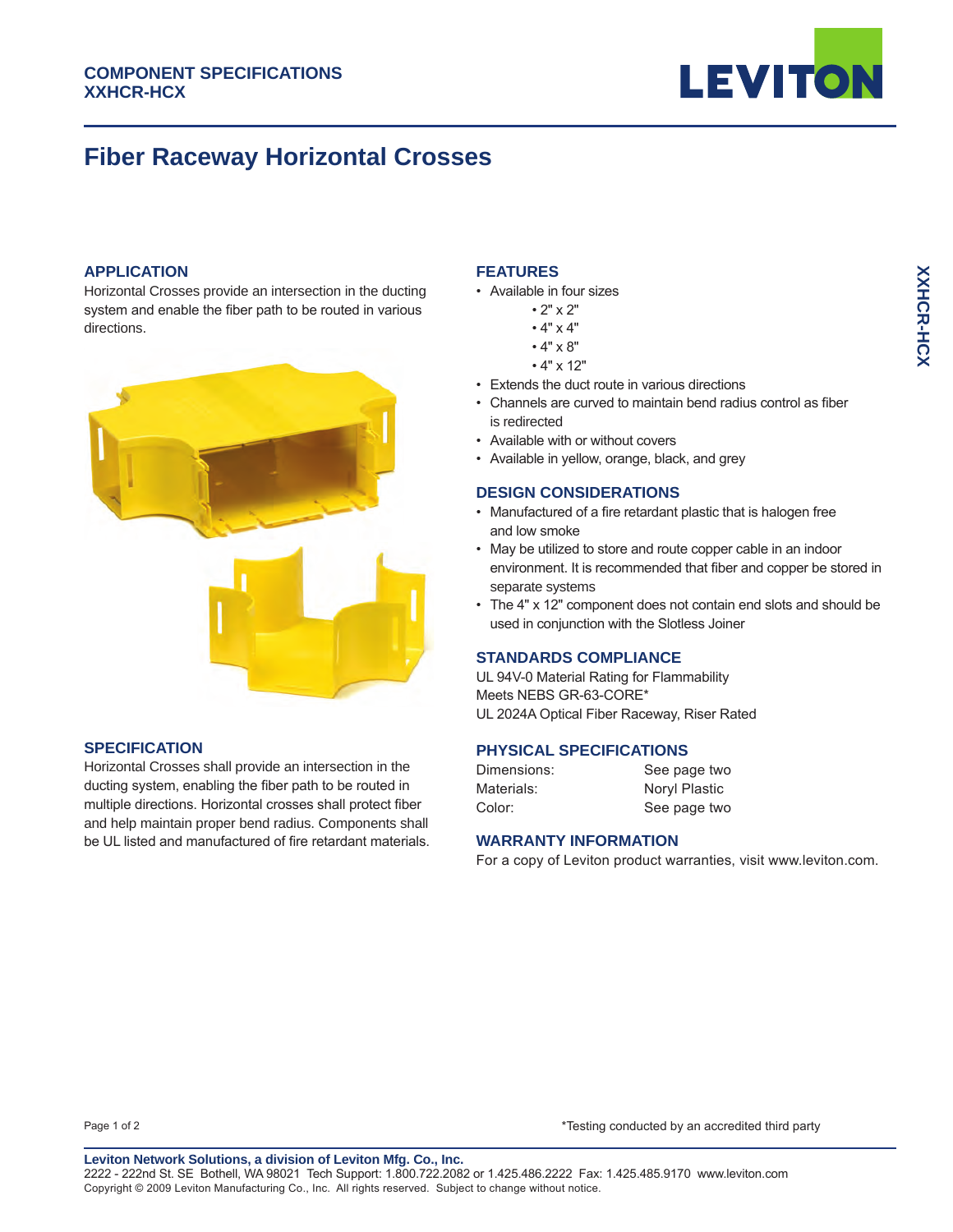

# **Fiber Raceway Horizontal Crosses**

### **APPLICATION**

Horizontal Crosses provide an intersection in the ducting system and enable the fiber path to be routed in various directions.



# **SPECIFICATION**

Horizontal Crosses shall provide an intersection in the ducting system, enabling the fiber path to be routed in multiple directions. Horizontal crosses shall protect fiber and help maintain proper bend radius. Components shall be UL listed and manufactured of fire retardant materials.

# **FEATURES**

- Available in four sizes
	- 2" x 2"
	- 4" x 4"
	- 4" x 8"
	- 4" x 12"
- Extends the duct route in various directions
- Channels are curved to maintain bend radius control as fiber is redirected
- Available with or without covers
- Available in yellow, orange, black, and grey

# **DESIGN CONSIDERATIONS**

- Manufactured of a fire retardant plastic that is halogen free and low smoke
- May be utilized to store and route copper cable in an indoor environment. It is recommended that fiber and copper be stored in separate systems
- The 4" x 12" component does not contain end slots and should be used in conjunction with the Slotless Joiner

#### **STANDARDS COMPLIANCE**

UL 94V-0 Material Rating for Flammability Meets NEBS GR-63-CORE\* UL 2024A Optical Fiber Raceway, Riser Rated

#### **PHYSICAL SPECIFICATIONS**

| Dimensions: | See page two  |
|-------------|---------------|
| Materials:  | Noryl Plastic |
| Color:      | See page two  |

#### **WARRANTY INFORMATION**

For a copy of Leviton product warranties, visit www.leviton.com.

Page 1 of 2 \*Testing conducted by an accredited third party